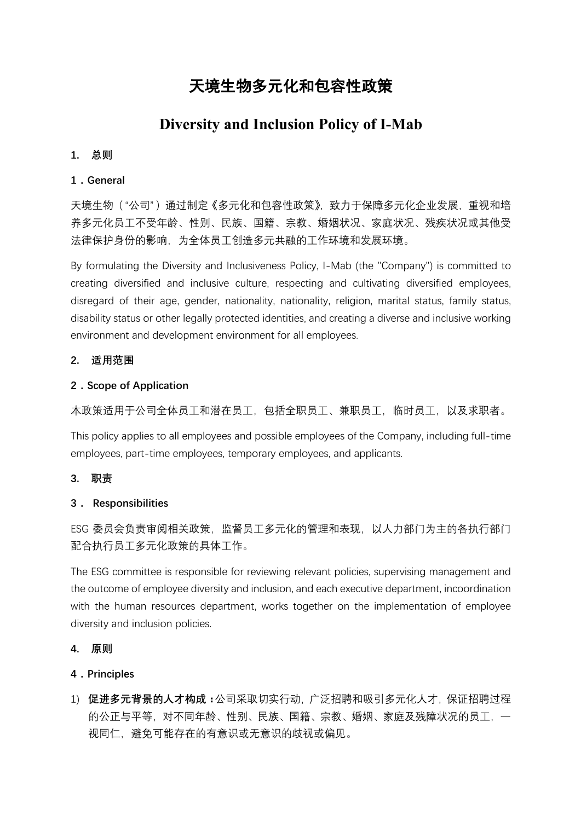# 天境生物多元化和包容性政策

# **Diversity and Inclusion Policy of I-Mab**

#### **1. 总则**

#### **1.General**

天境生物("公司")通过制定《多元化和包容性政策》,致力于保障多元化企业发展,重视和培 养多元化员工不受年龄、性别、民族、国籍、宗教、婚姻状况、家庭状况、残疾状况或其他受 法律保护身份的影响,为全体员工创造多元共融的工作环境和发展环境。

By formulating the Diversity and Inclusiveness Policy, I-Mab (the "Company") is committed to creating diversified and inclusive culture, respecting and cultivating diversified employees, disregard of their age, gender, nationality, nationality, religion, marital status, family status, disability status or other legally protected identities, and creating a diverse and inclusive working environment and development environment for all employees.

#### **2. 适用范围**

#### **2.Scope of Application**

本政策适用于公司全体员工和潜在员工,包括全职员工、兼职员工,临时员工,以及求职者。

This policy applies to all employees and possible employees of the Company, including full-time employees, part-time employees, temporary employees, and applicants.

#### **3. 职责**

# **3. Responsibilities**

ESG 委员会负责审阅相关政策, 监督员工多元化的管理和表现, 以人力部门为主的各执行部门 配合执行员工多元化政策的具体工作。

The ESG committee is responsible for reviewing relevant policies, supervising management and the outcome of employee diversity and inclusion, and each executive department, incoordination with the human resources department, works together on the implementation of employee diversity and inclusion policies.

**4. 原则**

# **4.Principles**

1) **促进多元背景的人才构成:**公司采取切实行动,广泛招聘和吸引多元化人才,保证招聘过程 的公正与平等,对不同年龄、性别、民族、国籍、宗教、婚姻、家庭及残障状况的员工,一 视同仁,避免可能存在的有意识或无意识的歧视或偏见。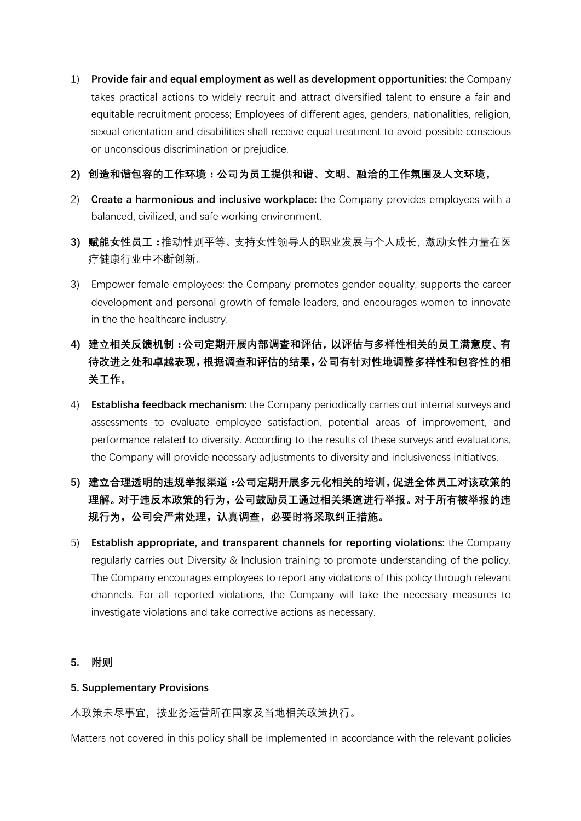- 1) **Provide fair and equal employment as well as development opportunities:** the Company takes practical actions to widely recruit and attract diversified talent to ensure a fair and equitable recruitment process; Employees of different ages, genders, nationalities, religion, sexual orientation and disabilities shall receive equal treatment to avoid possible conscious or unconscious discrimination or prejudice.
- **2) 创造和谐包容的工作环境:公司为员工提供和谐、文明、融洽的工作氛围及人文环境,**
- 2) **Create a harmonious and inclusive workplace:** the Company provides employees with a balanced, civilized, and safe working environment.
- **3) 赋能女性员工:**推动性别平等、支持女性领导人的职业发展与个人成长,激励女性力量在医 疗健康行业中不断创新。
- 3) Empower female employees: the Company promotes gender equality, supports the career development and personal growth of female leaders, and encourages women to innovate in the the healthcare industry.
- **4) 建立相关反馈机制:公司定期开展内部调查和评估,以评估与多样性相关的员工满意度、有 待改进之处和卓越表现,根据调查和评估的结果,公司有针对性地调整多样性和包容性的相 关工作。**
- 4) **Establisha feedback mechanism:** the Company periodically carries out internal surveys and assessments to evaluate employee satisfaction, potential areas of improvement, and performance related to diversity. According to the results of these surveys and evaluations, the Company will provide necessary adjustments to diversity and inclusiveness initiatives.
- **5) 建立合理透明的违规举报渠道:公司定期开展多元化相关的培训,促进全体员工对该政策的 理解。对于违反本政策的行为,公司鼓励员工通过相关渠道进行举报。对于所有被举报的违 规行为,公司会严肃处理,认真调查,必要时将采取纠正措施。**
- 5) **Establish appropriate, and transparent channels for reporting violations:** the Company regularly carries out Diversity & Inclusion training to promote understanding of the policy. The Company encourages employees to report any violations of this policy through relevant channels. For all reported violations, the Company will take the necessary measures to investigate violations and take corrective actions as necessary.
- **5. 附则**

# **5. Supplementary Provisions**

本政策未尽事宜,按业务运营所在国家及当地相关政策执行。

Matters not covered in this policy shall be implemented in accordance with the relevant policies